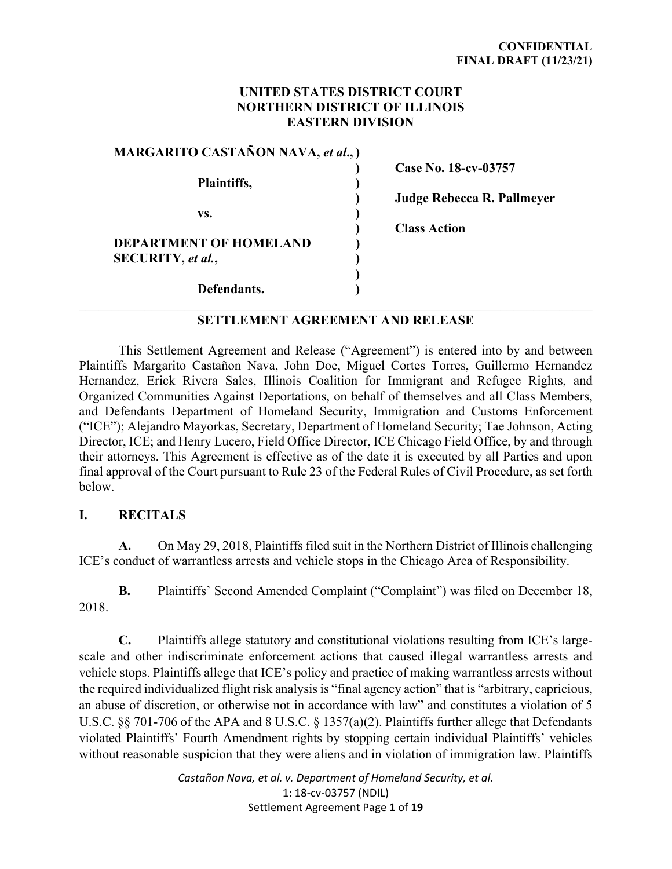## **UNITED STATES DISTRICT COURT NORTHERN DISTRICT OF ILLINOIS EASTERN DIVISION**

| <b>MARGARITO CASTAÑON NAVA, et al.,)</b> |  |
|------------------------------------------|--|
|                                          |  |
| Plaintiffs,                              |  |
|                                          |  |
| VS.                                      |  |
|                                          |  |
| DEPARTMENT OF HOMELAND                   |  |
| SECURITY, et al.,                        |  |
|                                          |  |
| Defendants.                              |  |

 **) Case No. 18-cv-03757** 

 **) Judge Rebecca R. Pallmeyer** 

 **) Class Action** 

# **SETTLEMENT AGREEMENT AND RELEASE**

This Settlement Agreement and Release ("Agreement") is entered into by and between Plaintiffs Margarito Castañon Nava, John Doe, Miguel Cortes Torres, Guillermo Hernandez Hernandez, Erick Rivera Sales, Illinois Coalition for Immigrant and Refugee Rights, and Organized Communities Against Deportations, on behalf of themselves and all Class Members, and Defendants Department of Homeland Security, Immigration and Customs Enforcement ("ICE"); Alejandro Mayorkas, Secretary, Department of Homeland Security; Tae Johnson, Acting Director, ICE; and Henry Lucero, Field Office Director, ICE Chicago Field Office, by and through their attorneys. This Agreement is effective as of the date it is executed by all Parties and upon final approval of the Court pursuant to Rule 23 of the Federal Rules of Civil Procedure, as set forth below.

#### **I. RECITALS**

**A.** On May 29, 2018, Plaintiffs filed suit in the Northern District of Illinois challenging ICE's conduct of warrantless arrests and vehicle stops in the Chicago Area of Responsibility.

**B.** Plaintiffs' Second Amended Complaint ("Complaint") was filed on December 18, 2018.

**C.** Plaintiffs allege statutory and constitutional violations resulting from ICE's largescale and other indiscriminate enforcement actions that caused illegal warrantless arrests and vehicle stops. Plaintiffs allege that ICE's policy and practice of making warrantless arrests without the required individualized flight risk analysis is "final agency action" that is "arbitrary, capricious, an abuse of discretion, or otherwise not in accordance with law" and constitutes a violation of 5 U.S.C. §§ 701-706 of the APA and 8 U.S.C. § 1357(a)(2). Plaintiffs further allege that Defendants violated Plaintiffs' Fourth Amendment rights by stopping certain individual Plaintiffs' vehicles without reasonable suspicion that they were aliens and in violation of immigration law. Plaintiffs

> *Castañon Nava, et al. v. Department of Homeland Security, et al.*  1: 18-cv-03757 (NDIL) Settlement Agreement Page **1** of **19**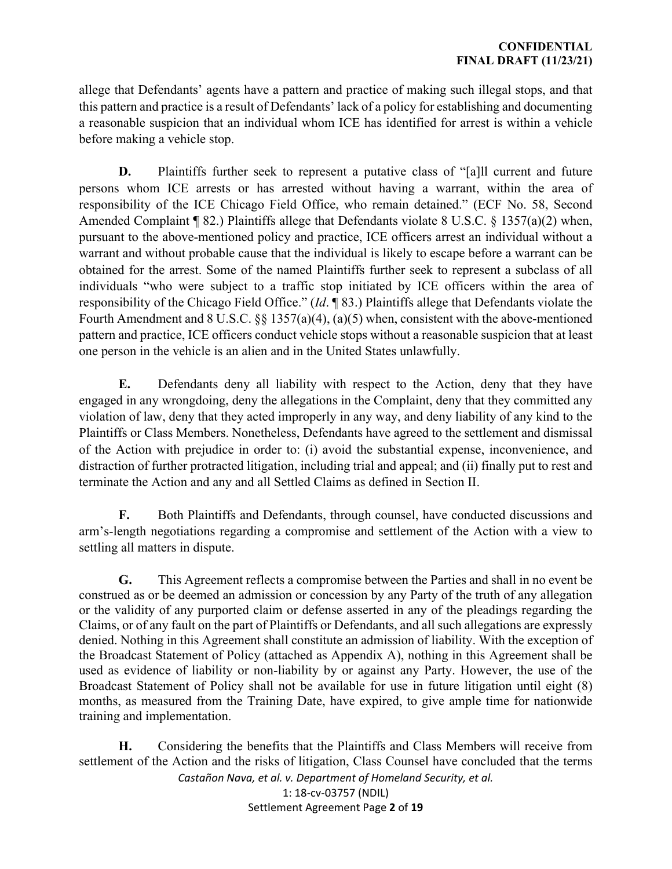allege that Defendants' agents have a pattern and practice of making such illegal stops, and that this pattern and practice is a result of Defendants' lack of a policy for establishing and documenting a reasonable suspicion that an individual whom ICE has identified for arrest is within a vehicle before making a vehicle stop.

**D.** Plaintiffs further seek to represent a putative class of "[a]ll current and future persons whom ICE arrests or has arrested without having a warrant, within the area of responsibility of the ICE Chicago Field Office, who remain detained." (ECF No. 58, Second Amended Complaint ¶ 82.) Plaintiffs allege that Defendants violate 8 U.S.C. § 1357(a)(2) when, pursuant to the above-mentioned policy and practice, ICE officers arrest an individual without a warrant and without probable cause that the individual is likely to escape before a warrant can be obtained for the arrest. Some of the named Plaintiffs further seek to represent a subclass of all individuals "who were subject to a traffic stop initiated by ICE officers within the area of responsibility of the Chicago Field Office." (*Id*. ¶ 83.) Plaintiffs allege that Defendants violate the Fourth Amendment and 8 U.S.C. §§ 1357(a)(4), (a)(5) when, consistent with the above-mentioned pattern and practice, ICE officers conduct vehicle stops without a reasonable suspicion that at least one person in the vehicle is an alien and in the United States unlawfully.

**E.** Defendants deny all liability with respect to the Action, deny that they have engaged in any wrongdoing, deny the allegations in the Complaint, deny that they committed any violation of law, deny that they acted improperly in any way, and deny liability of any kind to the Plaintiffs or Class Members. Nonetheless, Defendants have agreed to the settlement and dismissal of the Action with prejudice in order to: (i) avoid the substantial expense, inconvenience, and distraction of further protracted litigation, including trial and appeal; and (ii) finally put to rest and terminate the Action and any and all Settled Claims as defined in Section II.

**F.** Both Plaintiffs and Defendants, through counsel, have conducted discussions and arm's-length negotiations regarding a compromise and settlement of the Action with a view to settling all matters in dispute.

**G.** This Agreement reflects a compromise between the Parties and shall in no event be construed as or be deemed an admission or concession by any Party of the truth of any allegation or the validity of any purported claim or defense asserted in any of the pleadings regarding the Claims, or of any fault on the part of Plaintiffs or Defendants, and all such allegations are expressly denied. Nothing in this Agreement shall constitute an admission of liability. With the exception of the Broadcast Statement of Policy (attached as Appendix A), nothing in this Agreement shall be used as evidence of liability or non-liability by or against any Party. However, the use of the Broadcast Statement of Policy shall not be available for use in future litigation until eight (8) months, as measured from the Training Date, have expired, to give ample time for nationwide training and implementation.

**H.** Considering the benefits that the Plaintiffs and Class Members will receive from settlement of the Action and the risks of litigation, Class Counsel have concluded that the terms

> *Castañon Nava, et al. v. Department of Homeland Security, et al.*  1: 18-cv-03757 (NDIL) Settlement Agreement Page **2** of **19**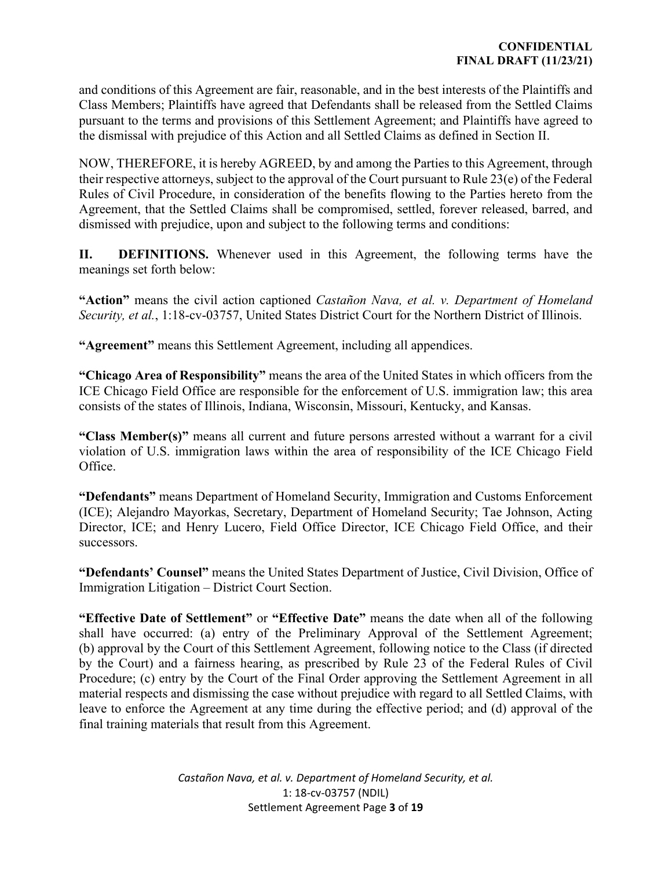and conditions of this Agreement are fair, reasonable, and in the best interests of the Plaintiffs and Class Members; Plaintiffs have agreed that Defendants shall be released from the Settled Claims pursuant to the terms and provisions of this Settlement Agreement; and Plaintiffs have agreed to the dismissal with prejudice of this Action and all Settled Claims as defined in Section II.

NOW, THEREFORE, it is hereby AGREED, by and among the Parties to this Agreement, through their respective attorneys, subject to the approval of the Court pursuant to Rule 23(e) of the Federal Rules of Civil Procedure, in consideration of the benefits flowing to the Parties hereto from the Agreement, that the Settled Claims shall be compromised, settled, forever released, barred, and dismissed with prejudice, upon and subject to the following terms and conditions:

**II. DEFINITIONS.** Whenever used in this Agreement, the following terms have the meanings set forth below:

**"Action"** means the civil action captioned *Castañon Nava, et al. v. Department of Homeland Security, et al.*, 1:18-cv-03757, United States District Court for the Northern District of Illinois.

**"Agreement"** means this Settlement Agreement, including all appendices.

**"Chicago Area of Responsibility"** means the area of the United States in which officers from the ICE Chicago Field Office are responsible for the enforcement of U.S. immigration law; this area consists of the states of Illinois, Indiana, Wisconsin, Missouri, Kentucky, and Kansas.

**"Class Member(s)"** means all current and future persons arrested without a warrant for a civil violation of U.S. immigration laws within the area of responsibility of the ICE Chicago Field Office.

**"Defendants"** means Department of Homeland Security, Immigration and Customs Enforcement (ICE); Alejandro Mayorkas, Secretary, Department of Homeland Security; Tae Johnson, Acting Director, ICE; and Henry Lucero, Field Office Director, ICE Chicago Field Office, and their successors.

**"Defendants' Counsel"** means the United States Department of Justice, Civil Division, Office of Immigration Litigation – District Court Section.

**"Effective Date of Settlement"** or **"Effective Date"** means the date when all of the following shall have occurred: (a) entry of the Preliminary Approval of the Settlement Agreement; (b) approval by the Court of this Settlement Agreement, following notice to the Class (if directed by the Court) and a fairness hearing, as prescribed by Rule 23 of the Federal Rules of Civil Procedure; (c) entry by the Court of the Final Order approving the Settlement Agreement in all material respects and dismissing the case without prejudice with regard to all Settled Claims, with leave to enforce the Agreement at any time during the effective period; and (d) approval of the final training materials that result from this Agreement.

> *Castañon Nava, et al. v. Department of Homeland Security, et al.*  1: 18-cv-03757 (NDIL) Settlement Agreement Page **3** of **19**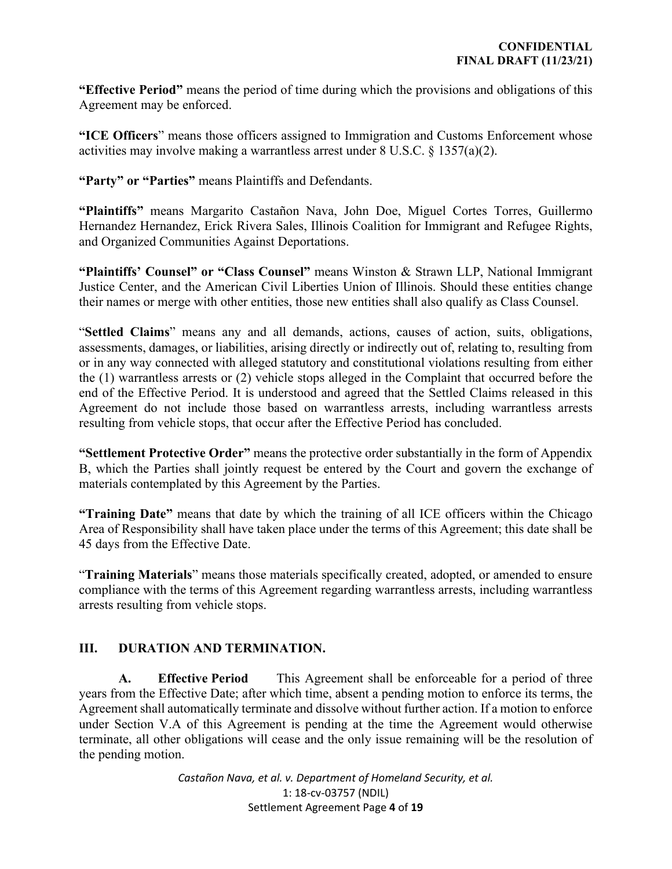**"Effective Period"** means the period of time during which the provisions and obligations of this Agreement may be enforced.

**"ICE Officers**" means those officers assigned to Immigration and Customs Enforcement whose activities may involve making a warrantless arrest under 8 U.S.C. § 1357(a)(2).

**"Party" or "Parties"** means Plaintiffs and Defendants.

**"Plaintiffs"** means Margarito Castañon Nava, John Doe, Miguel Cortes Torres, Guillermo Hernandez Hernandez, Erick Rivera Sales, Illinois Coalition for Immigrant and Refugee Rights, and Organized Communities Against Deportations.

**"Plaintiffs' Counsel" or "Class Counsel"** means Winston & Strawn LLP, National Immigrant Justice Center, and the American Civil Liberties Union of Illinois. Should these entities change their names or merge with other entities, those new entities shall also qualify as Class Counsel.

"**Settled Claims**" means any and all demands, actions, causes of action, suits, obligations, assessments, damages, or liabilities, arising directly or indirectly out of, relating to, resulting from or in any way connected with alleged statutory and constitutional violations resulting from either the (1) warrantless arrests or (2) vehicle stops alleged in the Complaint that occurred before the end of the Effective Period. It is understood and agreed that the Settled Claims released in this Agreement do not include those based on warrantless arrests, including warrantless arrests resulting from vehicle stops, that occur after the Effective Period has concluded.

**"Settlement Protective Order"** means the protective order substantially in the form of Appendix B, which the Parties shall jointly request be entered by the Court and govern the exchange of materials contemplated by this Agreement by the Parties.

**"Training Date"** means that date by which the training of all ICE officers within the Chicago Area of Responsibility shall have taken place under the terms of this Agreement; this date shall be 45 days from the Effective Date.

"**Training Materials**" means those materials specifically created, adopted, or amended to ensure compliance with the terms of this Agreement regarding warrantless arrests, including warrantless arrests resulting from vehicle stops.

## **III. DURATION AND TERMINATION.**

**A. Effective Period** This Agreement shall be enforceable for a period of three years from the Effective Date; after which time, absent a pending motion to enforce its terms, the Agreement shall automatically terminate and dissolve without further action. If a motion to enforce under Section V.A of this Agreement is pending at the time the Agreement would otherwise terminate, all other obligations will cease and the only issue remaining will be the resolution of the pending motion.

> *Castañon Nava, et al. v. Department of Homeland Security, et al.*  1: 18-cv-03757 (NDIL) Settlement Agreement Page **4** of **19**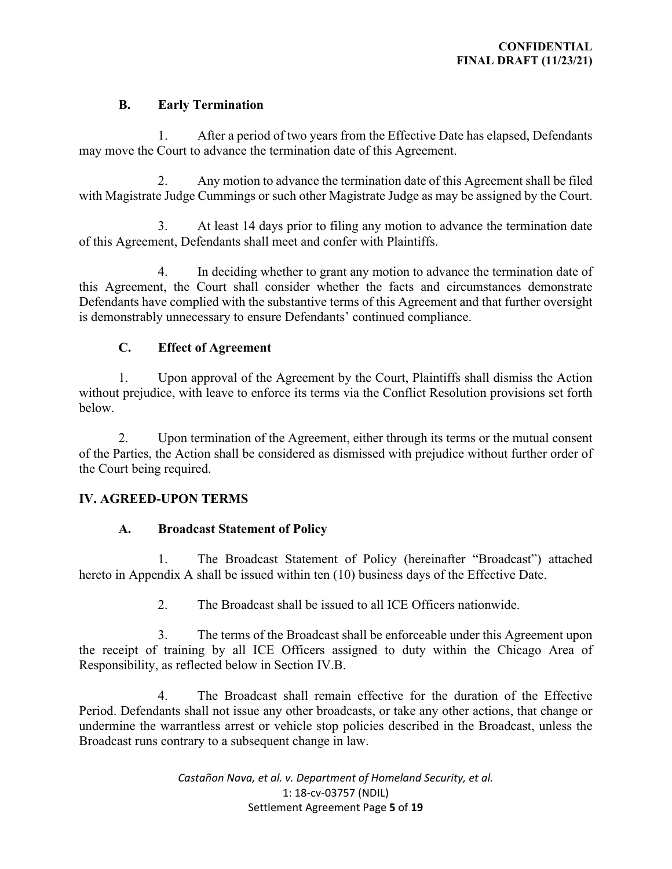## **B. Early Termination**

1. After a period of two years from the Effective Date has elapsed, Defendants may move the Court to advance the termination date of this Agreement.

2. Any motion to advance the termination date of this Agreement shall be filed with Magistrate Judge Cummings or such other Magistrate Judge as may be assigned by the Court.

3. At least 14 days prior to filing any motion to advance the termination date of this Agreement, Defendants shall meet and confer with Plaintiffs.

4. In deciding whether to grant any motion to advance the termination date of this Agreement, the Court shall consider whether the facts and circumstances demonstrate Defendants have complied with the substantive terms of this Agreement and that further oversight is demonstrably unnecessary to ensure Defendants' continued compliance.

# **C. Effect of Agreement**

1. Upon approval of the Agreement by the Court, Plaintiffs shall dismiss the Action without prejudice, with leave to enforce its terms via the Conflict Resolution provisions set forth below.

2. Upon termination of the Agreement, either through its terms or the mutual consent of the Parties, the Action shall be considered as dismissed with prejudice without further order of the Court being required.

# **IV. AGREED-UPON TERMS**

## **A. Broadcast Statement of Policy**

1. The Broadcast Statement of Policy (hereinafter "Broadcast") attached hereto in Appendix A shall be issued within ten (10) business days of the Effective Date.

2. The Broadcast shall be issued to all ICE Officers nationwide.

3. The terms of the Broadcast shall be enforceable under this Agreement upon the receipt of training by all ICE Officers assigned to duty within the Chicago Area of Responsibility, as reflected below in Section IV.B.

4. The Broadcast shall remain effective for the duration of the Effective Period. Defendants shall not issue any other broadcasts, or take any other actions, that change or undermine the warrantless arrest or vehicle stop policies described in the Broadcast, unless the Broadcast runs contrary to a subsequent change in law.

> *Castañon Nava, et al. v. Department of Homeland Security, et al.*  1: 18-cv-03757 (NDIL) Settlement Agreement Page **5** of **19**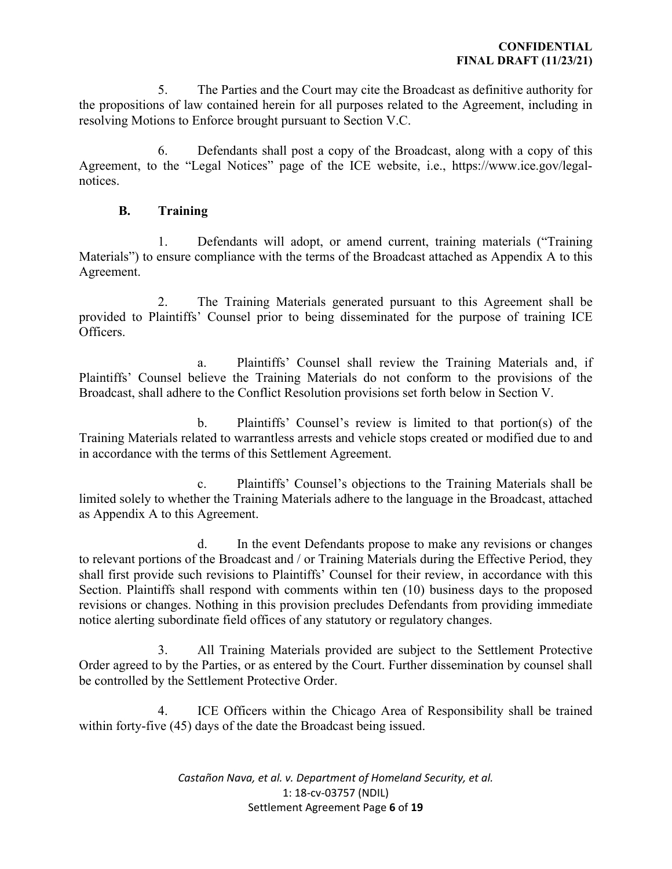5. The Parties and the Court may cite the Broadcast as definitive authority for the propositions of law contained herein for all purposes related to the Agreement, including in resolving Motions to Enforce brought pursuant to Section V.C.

6. Defendants shall post a copy of the Broadcast, along with a copy of this Agreement, to the "Legal Notices" page of the ICE website, i.e., https://www.ice.gov/legalnotices.

#### **B. Training**

1. Defendants will adopt, or amend current, training materials ("Training Materials") to ensure compliance with the terms of the Broadcast attached as Appendix A to this Agreement.

2. The Training Materials generated pursuant to this Agreement shall be provided to Plaintiffs' Counsel prior to being disseminated for the purpose of training ICE Officers.

a. Plaintiffs' Counsel shall review the Training Materials and, if Plaintiffs' Counsel believe the Training Materials do not conform to the provisions of the Broadcast, shall adhere to the Conflict Resolution provisions set forth below in Section V.

b. Plaintiffs' Counsel's review is limited to that portion(s) of the Training Materials related to warrantless arrests and vehicle stops created or modified due to and in accordance with the terms of this Settlement Agreement.

c. Plaintiffs' Counsel's objections to the Training Materials shall be limited solely to whether the Training Materials adhere to the language in the Broadcast, attached as Appendix A to this Agreement.

d. In the event Defendants propose to make any revisions or changes to relevant portions of the Broadcast and / or Training Materials during the Effective Period, they shall first provide such revisions to Plaintiffs' Counsel for their review, in accordance with this Section. Plaintiffs shall respond with comments within ten (10) business days to the proposed revisions or changes. Nothing in this provision precludes Defendants from providing immediate notice alerting subordinate field offices of any statutory or regulatory changes.

3. All Training Materials provided are subject to the Settlement Protective Order agreed to by the Parties, or as entered by the Court. Further dissemination by counsel shall be controlled by the Settlement Protective Order.

4. ICE Officers within the Chicago Area of Responsibility shall be trained within forty-five (45) days of the date the Broadcast being issued.

> *Castañon Nava, et al. v. Department of Homeland Security, et al.*  1: 18-cv-03757 (NDIL) Settlement Agreement Page **6** of **19**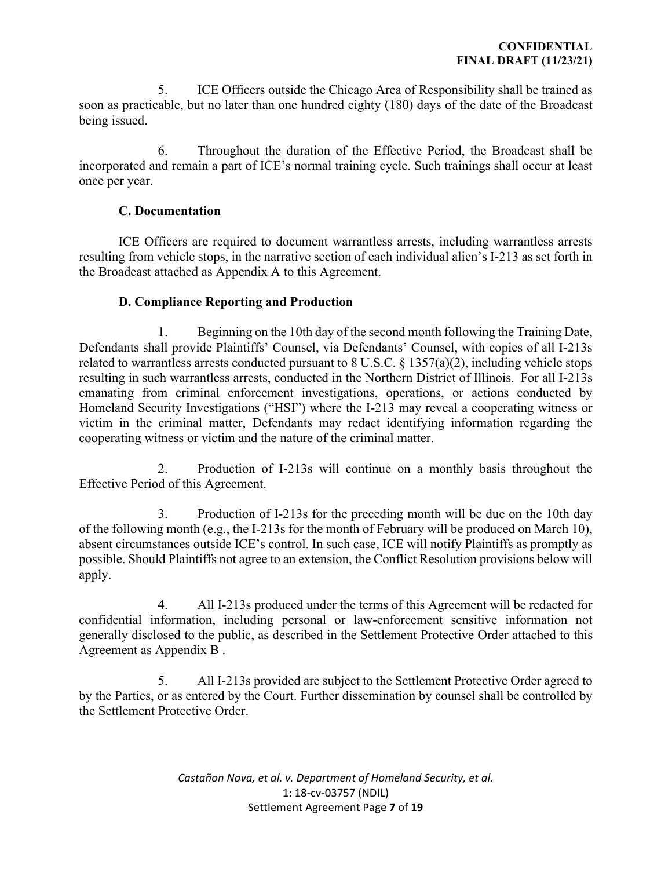5. ICE Officers outside the Chicago Area of Responsibility shall be trained as soon as practicable, but no later than one hundred eighty (180) days of the date of the Broadcast being issued.

6. Throughout the duration of the Effective Period, the Broadcast shall be incorporated and remain a part of ICE's normal training cycle. Such trainings shall occur at least once per year.

## **C. Documentation**

ICE Officers are required to document warrantless arrests, including warrantless arrests resulting from vehicle stops, in the narrative section of each individual alien's I-213 as set forth in the Broadcast attached as Appendix A to this Agreement.

## **D. Compliance Reporting and Production**

1. Beginning on the 10th day of the second month following the Training Date, Defendants shall provide Plaintiffs' Counsel, via Defendants' Counsel, with copies of all I-213s related to warrantless arrests conducted pursuant to 8 U.S.C.  $\S$  1357(a)(2), including vehicle stops resulting in such warrantless arrests, conducted in the Northern District of Illinois. For all I-213s emanating from criminal enforcement investigations, operations, or actions conducted by Homeland Security Investigations ("HSI") where the I-213 may reveal a cooperating witness or victim in the criminal matter, Defendants may redact identifying information regarding the cooperating witness or victim and the nature of the criminal matter.

2. Production of I-213s will continue on a monthly basis throughout the Effective Period of this Agreement.

3. Production of I-213s for the preceding month will be due on the 10th day of the following month (e.g., the I-213s for the month of February will be produced on March 10), absent circumstances outside ICE's control. In such case, ICE will notify Plaintiffs as promptly as possible. Should Plaintiffs not agree to an extension, the Conflict Resolution provisions below will apply.

4. All I-213s produced under the terms of this Agreement will be redacted for confidential information, including personal or law-enforcement sensitive information not generally disclosed to the public, as described in the Settlement Protective Order attached to this Agreement as Appendix B .

5. All I-213s provided are subject to the Settlement Protective Order agreed to by the Parties, or as entered by the Court. Further dissemination by counsel shall be controlled by the Settlement Protective Order.

> *Castañon Nava, et al. v. Department of Homeland Security, et al.*  1: 18-cv-03757 (NDIL) Settlement Agreement Page **7** of **19**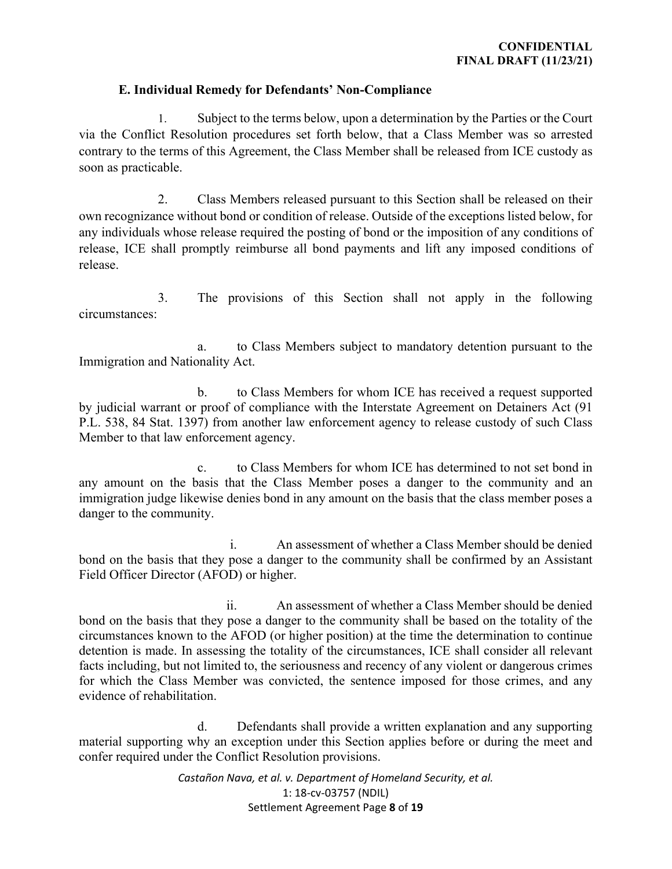#### **E. Individual Remedy for Defendants' Non-Compliance**

1. Subject to the terms below, upon a determination by the Parties or the Court via the Conflict Resolution procedures set forth below, that a Class Member was so arrested contrary to the terms of this Agreement, the Class Member shall be released from ICE custody as soon as practicable.

2. Class Members released pursuant to this Section shall be released on their own recognizance without bond or condition of release. Outside of the exceptions listed below, for any individuals whose release required the posting of bond or the imposition of any conditions of release, ICE shall promptly reimburse all bond payments and lift any imposed conditions of release.

3. The provisions of this Section shall not apply in the following circumstances:

a. to Class Members subject to mandatory detention pursuant to the Immigration and Nationality Act.

b. to Class Members for whom ICE has received a request supported by judicial warrant or proof of compliance with the Interstate Agreement on Detainers Act (91 P.L. 538, 84 Stat. 1397) from another law enforcement agency to release custody of such Class Member to that law enforcement agency.

c. to Class Members for whom ICE has determined to not set bond in any amount on the basis that the Class Member poses a danger to the community and an immigration judge likewise denies bond in any amount on the basis that the class member poses a danger to the community.

i. An assessment of whether a Class Member should be denied bond on the basis that they pose a danger to the community shall be confirmed by an Assistant Field Officer Director (AFOD) or higher.

ii. An assessment of whether a Class Member should be denied bond on the basis that they pose a danger to the community shall be based on the totality of the circumstances known to the AFOD (or higher position) at the time the determination to continue detention is made. In assessing the totality of the circumstances, ICE shall consider all relevant facts including, but not limited to, the seriousness and recency of any violent or dangerous crimes for which the Class Member was convicted, the sentence imposed for those crimes, and any evidence of rehabilitation.

d. Defendants shall provide a written explanation and any supporting material supporting why an exception under this Section applies before or during the meet and confer required under the Conflict Resolution provisions.

> *Castañon Nava, et al. v. Department of Homeland Security, et al.*  1: 18-cv-03757 (NDIL) Settlement Agreement Page **8** of **19**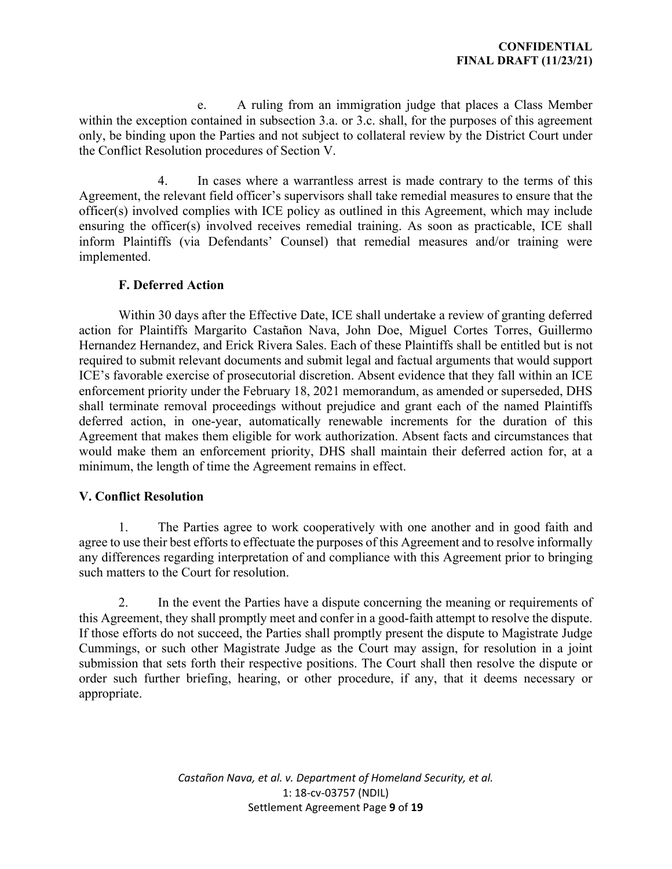e. A ruling from an immigration judge that places a Class Member within the exception contained in subsection 3.a. or 3.c. shall, for the purposes of this agreement only, be binding upon the Parties and not subject to collateral review by the District Court under the Conflict Resolution procedures of Section V.

4. In cases where a warrantless arrest is made contrary to the terms of this Agreement, the relevant field officer's supervisors shall take remedial measures to ensure that the officer(s) involved complies with ICE policy as outlined in this Agreement, which may include ensuring the officer(s) involved receives remedial training. As soon as practicable, ICE shall inform Plaintiffs (via Defendants' Counsel) that remedial measures and/or training were implemented.

## **F. Deferred Action**

Within 30 days after the Effective Date, ICE shall undertake a review of granting deferred action for Plaintiffs Margarito Castañon Nava, John Doe, Miguel Cortes Torres, Guillermo Hernandez Hernandez, and Erick Rivera Sales. Each of these Plaintiffs shall be entitled but is not required to submit relevant documents and submit legal and factual arguments that would support ICE's favorable exercise of prosecutorial discretion. Absent evidence that they fall within an ICE enforcement priority under the February 18, 2021 memorandum, as amended or superseded, DHS shall terminate removal proceedings without prejudice and grant each of the named Plaintiffs deferred action, in one-year, automatically renewable increments for the duration of this Agreement that makes them eligible for work authorization. Absent facts and circumstances that would make them an enforcement priority, DHS shall maintain their deferred action for, at a minimum, the length of time the Agreement remains in effect.

#### **V. Conflict Resolution**

1. The Parties agree to work cooperatively with one another and in good faith and agree to use their best efforts to effectuate the purposes of this Agreement and to resolve informally any differences regarding interpretation of and compliance with this Agreement prior to bringing such matters to the Court for resolution.

2. In the event the Parties have a dispute concerning the meaning or requirements of this Agreement, they shall promptly meet and confer in a good-faith attempt to resolve the dispute. If those efforts do not succeed, the Parties shall promptly present the dispute to Magistrate Judge Cummings, or such other Magistrate Judge as the Court may assign, for resolution in a joint submission that sets forth their respective positions. The Court shall then resolve the dispute or order such further briefing, hearing, or other procedure, if any, that it deems necessary or appropriate.

> *Castañon Nava, et al. v. Department of Homeland Security, et al.*  1: 18-cv-03757 (NDIL) Settlement Agreement Page **9** of **19**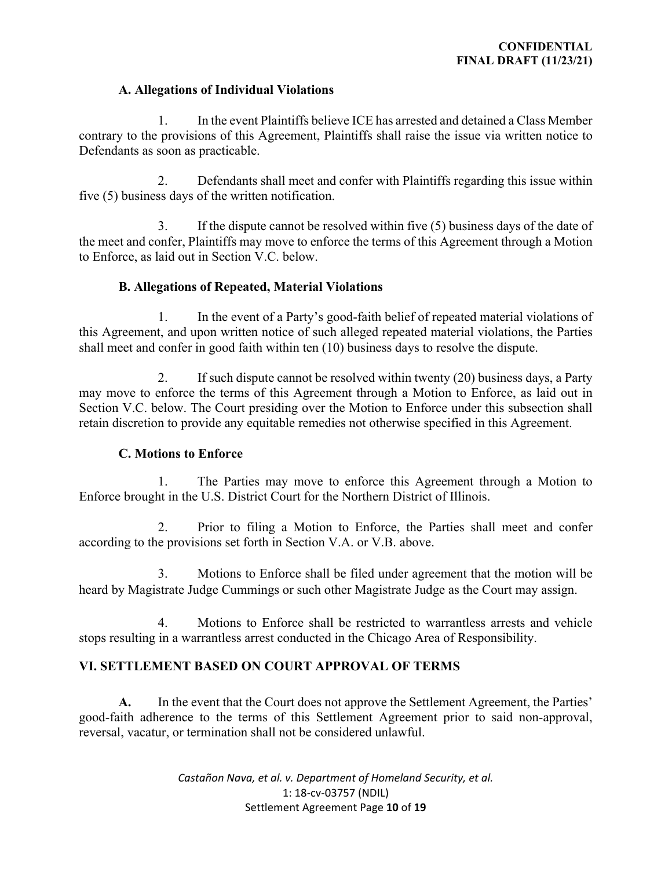#### **A. Allegations of Individual Violations**

1. In the event Plaintiffs believe ICE has arrested and detained a Class Member contrary to the provisions of this Agreement, Plaintiffs shall raise the issue via written notice to Defendants as soon as practicable.

2. Defendants shall meet and confer with Plaintiffs regarding this issue within five (5) business days of the written notification.

3. If the dispute cannot be resolved within five (5) business days of the date of the meet and confer, Plaintiffs may move to enforce the terms of this Agreement through a Motion to Enforce, as laid out in Section V.C. below.

## **B. Allegations of Repeated, Material Violations**

1. In the event of a Party's good-faith belief of repeated material violations of this Agreement, and upon written notice of such alleged repeated material violations, the Parties shall meet and confer in good faith within ten (10) business days to resolve the dispute.

2. If such dispute cannot be resolved within twenty (20) business days, a Party may move to enforce the terms of this Agreement through a Motion to Enforce, as laid out in Section V.C. below. The Court presiding over the Motion to Enforce under this subsection shall retain discretion to provide any equitable remedies not otherwise specified in this Agreement.

#### **C. Motions to Enforce**

1. The Parties may move to enforce this Agreement through a Motion to Enforce brought in the U.S. District Court for the Northern District of Illinois.

2. Prior to filing a Motion to Enforce, the Parties shall meet and confer according to the provisions set forth in Section V.A. or V.B. above.

3. Motions to Enforce shall be filed under agreement that the motion will be heard by Magistrate Judge Cummings or such other Magistrate Judge as the Court may assign.

4. Motions to Enforce shall be restricted to warrantless arrests and vehicle stops resulting in a warrantless arrest conducted in the Chicago Area of Responsibility.

## **VI. SETTLEMENT BASED ON COURT APPROVAL OF TERMS**

**A.** In the event that the Court does not approve the Settlement Agreement, the Parties' good-faith adherence to the terms of this Settlement Agreement prior to said non-approval, reversal, vacatur, or termination shall not be considered unlawful.

> *Castañon Nava, et al. v. Department of Homeland Security, et al.*  1: 18-cv-03757 (NDIL) Settlement Agreement Page **10** of **19**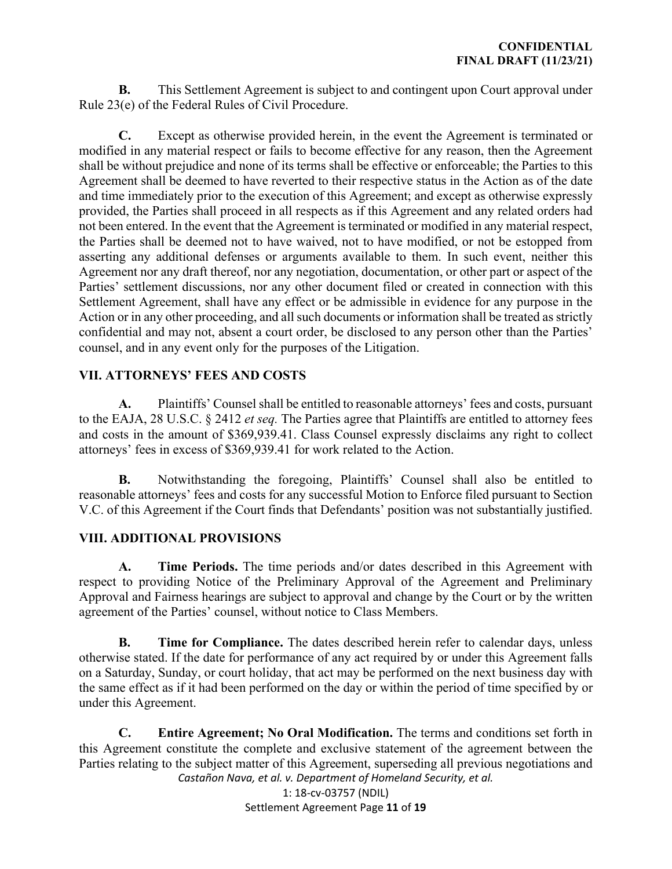**B.** This Settlement Agreement is subject to and contingent upon Court approval under Rule 23(e) of the Federal Rules of Civil Procedure.

**C.** Except as otherwise provided herein, in the event the Agreement is terminated or modified in any material respect or fails to become effective for any reason, then the Agreement shall be without prejudice and none of its terms shall be effective or enforceable; the Parties to this Agreement shall be deemed to have reverted to their respective status in the Action as of the date and time immediately prior to the execution of this Agreement; and except as otherwise expressly provided, the Parties shall proceed in all respects as if this Agreement and any related orders had not been entered. In the event that the Agreement is terminated or modified in any material respect, the Parties shall be deemed not to have waived, not to have modified, or not be estopped from asserting any additional defenses or arguments available to them. In such event, neither this Agreement nor any draft thereof, nor any negotiation, documentation, or other part or aspect of the Parties' settlement discussions, nor any other document filed or created in connection with this Settlement Agreement, shall have any effect or be admissible in evidence for any purpose in the Action or in any other proceeding, and all such documents or information shall be treated as strictly confidential and may not, absent a court order, be disclosed to any person other than the Parties' counsel, and in any event only for the purposes of the Litigation.

# **VII. ATTORNEYS' FEES AND COSTS**

**A.** Plaintiffs' Counsel shall be entitled to reasonable attorneys' fees and costs, pursuant to the EAJA, 28 U.S.C. § 2412 *et seq.* The Parties agree that Plaintiffs are entitled to attorney fees and costs in the amount of \$369,939.41. Class Counsel expressly disclaims any right to collect attorneys' fees in excess of \$369,939.41 for work related to the Action.

**B.** Notwithstanding the foregoing, Plaintiffs' Counsel shall also be entitled to reasonable attorneys' fees and costs for any successful Motion to Enforce filed pursuant to Section V.C. of this Agreement if the Court finds that Defendants' position was not substantially justified.

## **VIII. ADDITIONAL PROVISIONS**

**A. Time Periods.** The time periods and/or dates described in this Agreement with respect to providing Notice of the Preliminary Approval of the Agreement and Preliminary Approval and Fairness hearings are subject to approval and change by the Court or by the written agreement of the Parties' counsel, without notice to Class Members.

**B. Time for Compliance.** The dates described herein refer to calendar days, unless otherwise stated. If the date for performance of any act required by or under this Agreement falls on a Saturday, Sunday, or court holiday, that act may be performed on the next business day with the same effect as if it had been performed on the day or within the period of time specified by or under this Agreement.

*Castañon Nava, et al. v. Department of Homeland Security, et al.*  **C. Entire Agreement; No Oral Modification.** The terms and conditions set forth in this Agreement constitute the complete and exclusive statement of the agreement between the Parties relating to the subject matter of this Agreement, superseding all previous negotiations and

1: 18-cv-03757 (NDIL) Settlement Agreement Page **11** of **19**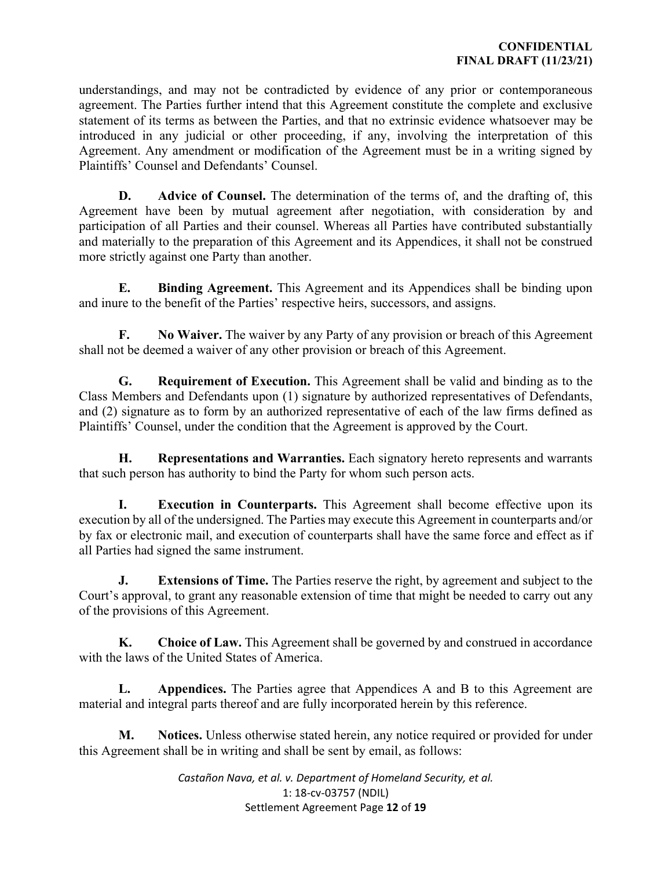understandings, and may not be contradicted by evidence of any prior or contemporaneous agreement. The Parties further intend that this Agreement constitute the complete and exclusive statement of its terms as between the Parties, and that no extrinsic evidence whatsoever may be introduced in any judicial or other proceeding, if any, involving the interpretation of this Agreement. Any amendment or modification of the Agreement must be in a writing signed by Plaintiffs' Counsel and Defendants' Counsel.

**D. Advice of Counsel.** The determination of the terms of, and the drafting of, this Agreement have been by mutual agreement after negotiation, with consideration by and participation of all Parties and their counsel. Whereas all Parties have contributed substantially and materially to the preparation of this Agreement and its Appendices, it shall not be construed more strictly against one Party than another.

**E. Binding Agreement.** This Agreement and its Appendices shall be binding upon and inure to the benefit of the Parties' respective heirs, successors, and assigns.

**F. No Waiver.** The waiver by any Party of any provision or breach of this Agreement shall not be deemed a waiver of any other provision or breach of this Agreement.

**G. Requirement of Execution.** This Agreement shall be valid and binding as to the Class Members and Defendants upon (1) signature by authorized representatives of Defendants, and (2) signature as to form by an authorized representative of each of the law firms defined as Plaintiffs' Counsel, under the condition that the Agreement is approved by the Court.

**H. Representations and Warranties.** Each signatory hereto represents and warrants that such person has authority to bind the Party for whom such person acts.

**I. Execution in Counterparts.** This Agreement shall become effective upon its execution by all of the undersigned. The Parties may execute this Agreement in counterparts and/or by fax or electronic mail, and execution of counterparts shall have the same force and effect as if all Parties had signed the same instrument.

**J. Extensions of Time.** The Parties reserve the right, by agreement and subject to the Court's approval, to grant any reasonable extension of time that might be needed to carry out any of the provisions of this Agreement.

**K. Choice of Law.** This Agreement shall be governed by and construed in accordance with the laws of the United States of America.

**L. Appendices.** The Parties agree that Appendices A and B to this Agreement are material and integral parts thereof and are fully incorporated herein by this reference.

**M. Notices.** Unless otherwise stated herein, any notice required or provided for under this Agreement shall be in writing and shall be sent by email, as follows:

> *Castañon Nava, et al. v. Department of Homeland Security, et al.*  1: 18-cv-03757 (NDIL) Settlement Agreement Page **12** of **19**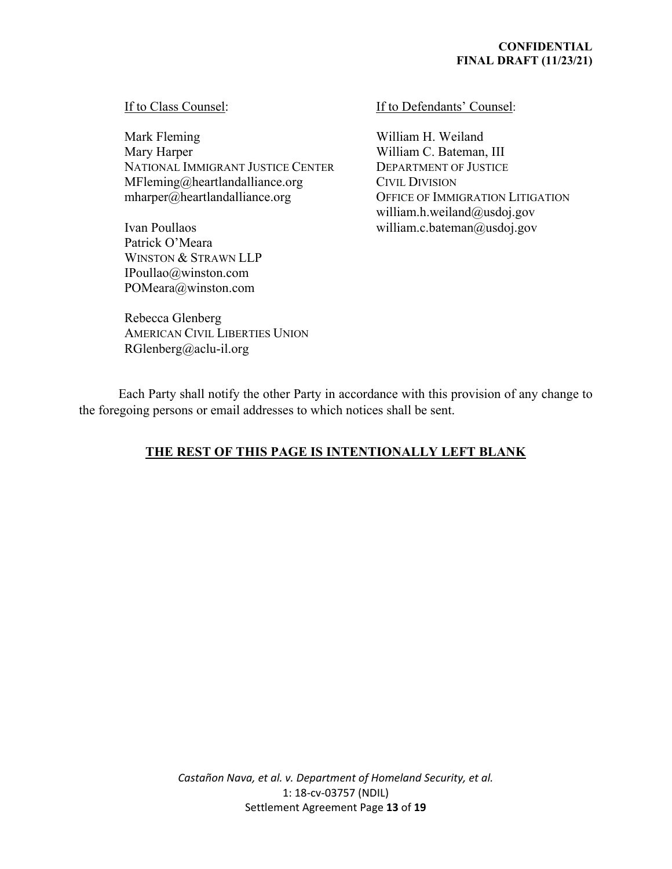#### **CONFIDENTIAL FINAL DRAFT (11/23/21)**

#### If to Class Counsel:

Mark Fleming Mary Harper NATIONAL IMMIGRANT JUSTICE CENTER MFleming@heartlandalliance.org mharper@heartlandalliance.org

Ivan Poullaos Patrick O'Meara WINSTON & STRAWN LLP IPoullao@winston.com POMeara@winston.com

#### If to Defendants' Counsel:

William H. Weiland William C. Bateman, III DEPARTMENT OF JUSTICE CIVIL DIVISION OFFICE OF IMMIGRATION LITIGATION william.h.weiland@usdoj.gov william.c.bateman@usdoj.gov

Rebecca Glenberg AMERICAN CIVIL LIBERTIES UNION RGlenberg@aclu-il.org

Each Party shall notify the other Party in accordance with this provision of any change to the foregoing persons or email addresses to which notices shall be sent.

# **THE REST OF THIS PAGE IS INTENTIONALLY LEFT BLANK**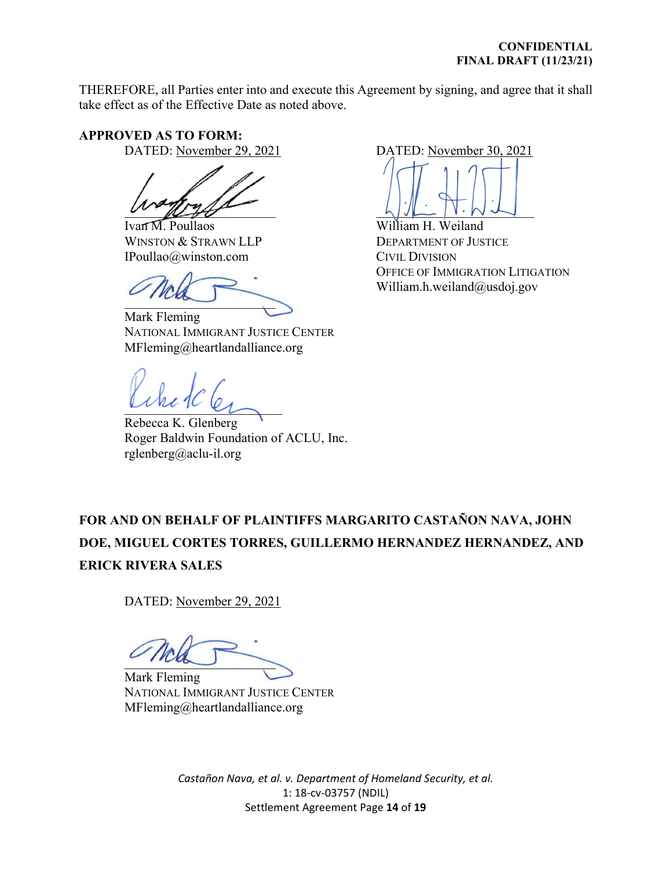THEREFORE, all Parties enter into and execute this Agreement by signing, and agree that it shall take effect as of the Effective Date as noted above.

## **APPROVED AS TO FORM:**

DATED: November 29, 2021

 $U \cup U$ 

Ivan M. Poullaos WINSTON & STRAWN LLP IPoullao@winston.com

 $\overline{\phantom{a}}$ 

Mark Fleming NATIONAL IMMIGRANT JUSTICE CENTER MFleming@heartlandalliance.org

 $L_{V}$  and  $R_{V}$ 

Rebecca K. Glenberg Roger Baldwin Foundation of ACLU, Inc. rglenberg@aclu-il.org

DATED: November 30, 2021

 $L \cup L$   $|V \cdot W - L|$ 

William H. Weiland DEPARTMENT OF JUSTICE CIVIL DIVISION OFFICE OF IMMIGRATION LITIGATION William.h.weiland@usdoj.gov

# **FOR AND ON BEHALF OF PLAINTIFFS MARGARITO CASTAÑON NAVA, JOHN DOE, MIGUEL CORTES TORRES, GUILLERMO HERNANDEZ HERNANDEZ, AND ERICK RIVERA SALES**

DATED: November 29, 2021

 $\sim$ 

Mark Fleming NATIONAL IMMIGRANT JUSTICE CENTER MFleming@heartlandalliance.org

*Castañon Nava, et al. v. Department of Homeland Security, et al.*  1: 18-cv-03757 (NDIL) Settlement Agreement Page **14** of **19**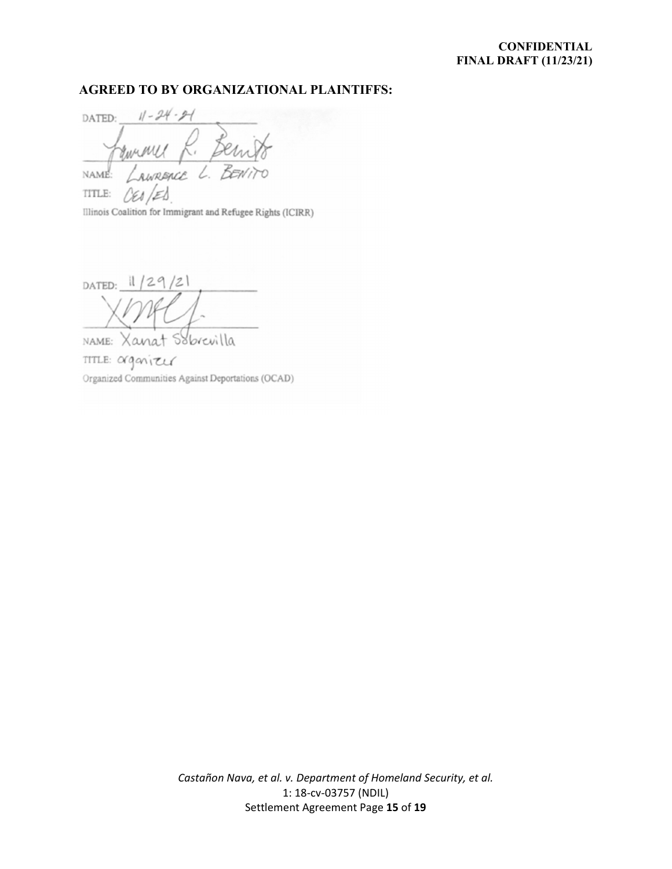#### **CONFIDENTIAL FINAL DRAFT (11/23/21)**

#### **AGREED TO BY ORGANIZATIONAL PLAINTIFFS:**

 $11 - 24 - 9 - 1$ DATED:  $\tilde{\phantom{a}}$   $\alpha$ AWREACE NAME: TITLE:

Illinois Coalition for Immigrant and Refugee Rights (ICIRR)

DATED:  $1/29/21$ 

Sobrevilla NAME: Xanat TITLE: arganizer Organized Communities Against Deportations (OCAD)

*Castañon Nava, et al. v. Department of Homeland Security, et al.*  1: 18-cv-03757 (NDIL) Settlement Agreement Page **15** of **19**